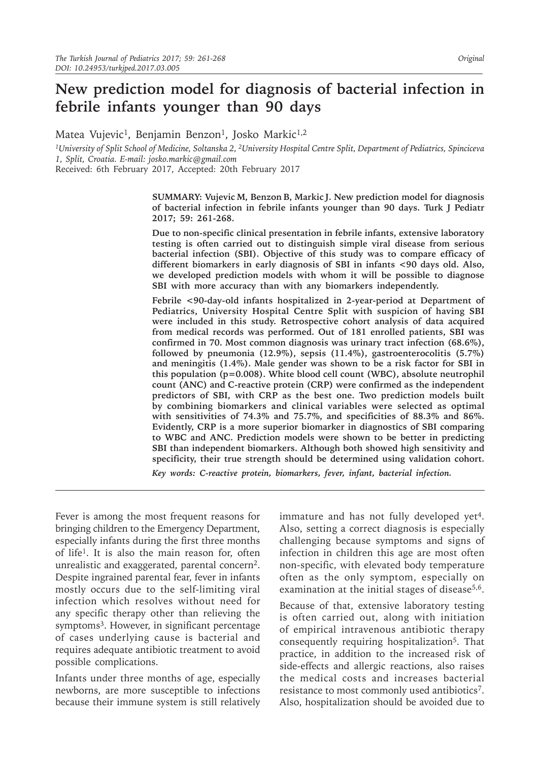# **New prediction model for diagnosis of bacterial infection in febrile infants younger than 90 days**

Matea Vujevic<sup>1</sup>, Benjamin Benzon<sup>1</sup>, Josko Markic<sup>1,2</sup>

*1University of Split School of Medicine, Soltanska 2, 2University Hospital Centre Split, Department of Pediatrics, Spinciceva 1, Split, Croatia. E-mail: josko.markic@gmail.com*

Received: 6th February 2017, Accepted: 20th February 2017

**SUMMARY: Vujevic M, Benzon B, Markic J. New prediction model for diagnosis of bacterial infection in febrile infants younger than 90 days. Turk J Pediatr 2017; 59: 261-268.**

**Due to non-specific clinical presentation in febrile infants, extensive laboratory testing is often carried out to distinguish simple viral disease from serious bacterial infection (SBI). Objective of this study was to compare efficacy of different biomarkers in early diagnosis of SBI in infants <90 days old. Also, we developed prediction models with whom it will be possible to diagnose SBI with more accuracy than with any biomarkers independently.**

**Febrile <90-day-old infants hospitalized in 2-year-period at Department of Pediatrics, University Hospital Centre Split with suspicion of having SBI were included in this study. Retrospective cohort analysis of data acquired from medical records was performed. Out of 181 enrolled patients, SBI was confirmed in 70. Most common diagnosis was urinary tract infection (68.6%), followed by pneumonia (12.9%), sepsis (11.4%), gastroenterocolitis (5.7%) and meningitis (1.4%). Male gender was shown to be a risk factor for SBI in this population (p=0.008). White blood cell count (WBC), absolute neutrophil count (ANC) and C-reactive protein (CRP) were confirmed as the independent predictors of SBI, with CRP as the best one. Two prediction models built by combining biomarkers and clinical variables were selected as optimal with sensitivities of 74.3% and 75.7%, and specificities of 88.3% and 86%. Evidently, CRP is a more superior biomarker in diagnostics of SBI comparing to WBC and ANC. Prediction models were shown to be better in predicting SBI than independent biomarkers. Although both showed high sensitivity and specificity, their true strength should be determined using validation cohort.**

*Key words: C-reactive protein, biomarkers, fever, infant, bacterial infection.*

Fever is among the most frequent reasons for bringing children to the Emergency Department, especially infants during the first three months of life1. It is also the main reason for, often unrealistic and exaggerated, parental concern<sup>2</sup>. Despite ingrained parental fear, fever in infants mostly occurs due to the self-limiting viral infection which resolves without need for any specific therapy other than relieving the symptoms<sup>3</sup>. However, in significant percentage of cases underlying cause is bacterial and requires adequate antibiotic treatment to avoid possible complications.

Infants under three months of age, especially newborns, are more susceptible to infections because their immune system is still relatively immature and has not fully developed yet<sup>4</sup>. Also, setting a correct diagnosis is especially challenging because symptoms and signs of infection in children this age are most often non-specific, with elevated body temperature often as the only symptom, especially on examination at the initial stages of disease<sup>5,6</sup>.

Because of that, extensive laboratory testing is often carried out, along with initiation of empirical intravenous antibiotic therapy consequently requiring hospitalization<sup>5</sup>. That practice, in addition to the increased risk of side-effects and allergic reactions, also raises the medical costs and increases bacterial resistance to most commonly used antibiotics7. Also, hospitalization should be avoided due to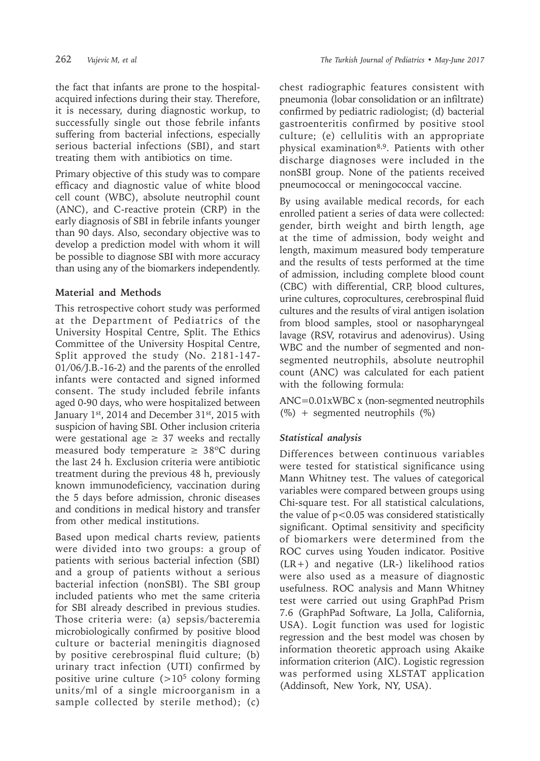the fact that infants are prone to the hospitalacquired infections during their stay. Therefore, it is necessary, during diagnostic workup, to successfully single out those febrile infants suffering from bacterial infections, especially serious bacterial infections (SBI), and start treating them with antibiotics on time.

Primary objective of this study was to compare efficacy and diagnostic value of white blood cell count (WBC), absolute neutrophil count (ANC), and C-reactive protein (CRP) in the early diagnosis of SBI in febrile infants younger than 90 days. Also, secondary objective was to develop a prediction model with whom it will be possible to diagnose SBI with more accuracy than using any of the biomarkers independently.

## **Material and Methods**

This retrospective cohort study was performed at the Department of Pediatrics of the University Hospital Centre, Split. The Ethics Committee of the University Hospital Centre, Split approved the study (No. 2181-147- 01/06/J.B.-16-2) and the parents of the enrolled infants were contacted and signed informed consent. The study included febrile infants aged 0-90 days, who were hospitalized between January 1<sup>st</sup>, 2014 and December 31<sup>st</sup>, 2015 with suspicion of having SBI. Other inclusion criteria were gestational age  $\geq$  37 weeks and rectally measured body temperature  $\geq 38^{\circ}$ C during the last 24 h. Exclusion criteria were antibiotic treatment during the previous 48 h, previously known immunodeficiency, vaccination during the 5 days before admission, chronic diseases and conditions in medical history and transfer from other medical institutions.

Based upon medical charts review, patients were divided into two groups: a group of patients with serious bacterial infection (SBI) and a group of patients without a serious bacterial infection (nonSBI). The SBI group included patients who met the same criteria for SBI already described in previous studies. Those criteria were: (a) sepsis/bacteremia microbiologically confirmed by positive blood culture or bacterial meningitis diagnosed by positive cerebrospinal fluid culture; (b) urinary tract infection (UTI) confirmed by positive urine culture  $(>10<sup>5</sup>$  colony forming units/ml of a single microorganism in a sample collected by sterile method); (c)

chest radiographic features consistent with pneumonia (lobar consolidation or an infiltrate) confirmed by pediatric radiologist; (d) bacterial gastroenteritis confirmed by positive stool culture; (e) cellulitis with an appropriate physical examination<sup>8,9</sup>. Patients with other discharge diagnoses were included in the nonSBI group. None of the patients received pneumococcal or meningococcal vaccine.

By using available medical records, for each enrolled patient a series of data were collected: gender, birth weight and birth length, age at the time of admission, body weight and length, maximum measured body temperature and the results of tests performed at the time of admission, including complete blood count (CBC) with differential, CRP, blood cultures, urine cultures, coprocultures, cerebrospinal fluid cultures and the results of viral antigen isolation from blood samples, stool or nasopharyngeal lavage (RSV, rotavirus and adenovirus). Using WBC and the number of segmented and nonsegmented neutrophils, absolute neutrophil count (ANC) was calculated for each patient with the following formula:

ANC=0.01xWBC x (non-segmented neutrophils (%) + segmented neutrophils (%)

# *Statistical analysis*

Differences between continuous variables were tested for statistical significance using Mann Whitney test. The values of categorical variables were compared between groups using Chi-square test. For all statistical calculations, the value of  $p < 0.05$  was considered statistically significant. Optimal sensitivity and specificity of biomarkers were determined from the ROC curves using Youden indicator. Positive (LR+) and negative (LR-) likelihood ratios were also used as a measure of diagnostic usefulness. ROC analysis and Mann Whitney test were carried out using GraphPad Prism 7.6 (GraphPad Software, La Jolla, California, USA). Logit function was used for logistic regression and the best model was chosen by information theoretic approach using Akaike information criterion (AIC). Logistic regression was performed using XLSTAT application (Addinsoft, New York, NY, USA).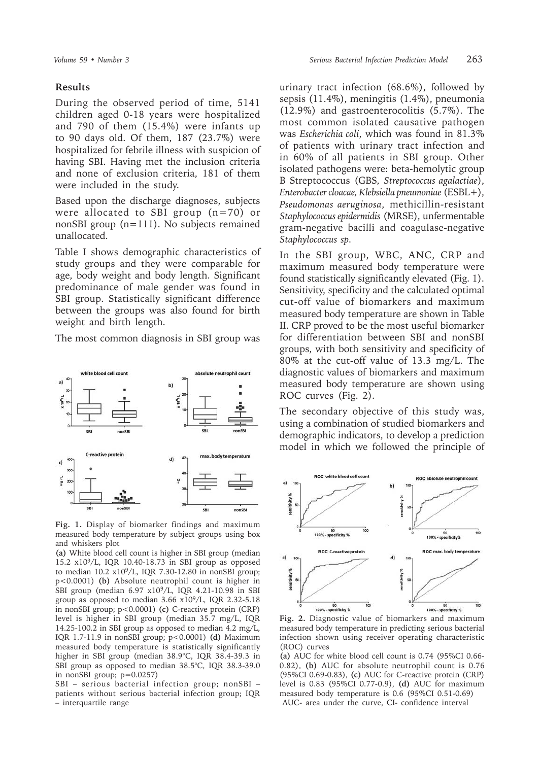#### **Results**

During the observed period of time, 5141 children aged 0-18 years were hospitalized and 790 of them (15.4%) were infants up to 90 days old. Of them, 187 (23.7%) were hospitalized for febrile illness with suspicion of having SBI. Having met the inclusion criteria and none of exclusion criteria, 181 of them were included in the study.

Based upon the discharge diagnoses, subjects were allocated to SBI group (n=70) or nonSBI group (n=111). No subjects remained unallocated.

Table I shows demographic characteristics of study groups and they were comparable for age, body weight and body length. Significant predominance of male gender was found in SBI group. Statistically significant difference between the groups was also found for birth weight and birth length.

The most common diagnosis in SBI group was



**Fig. 1.** Display of biomarker findings and maximum measured body temperature by subject groups using box and whiskers plot

**(a)** White blood cell count is higher in SBI group (median 15.2 x109/L, IQR 10.40-18.73 in SBI group as opposed to median 10.2 x109/L, IQR 7.30-12.80 in nonSBI group; p<0.0001) **(b)** Absolute neutrophil count is higher in SBI group (median 6.97 x109/L, IQR 4.21-10.98 in SBI group as opposed to median 3.66 x109/L, IQR 2.32-5.18 in nonSBI group; p<0.0001) **(c)** C-reactive protein (CRP) level is higher in SBI group (median 35.7 mg/L, IQR 14.25-100.2 in SBI group as opposed to median 4.2 mg/L, IQR 1.7-11.9 in nonSBI group; p<0.0001) **(d)** Maximum measured body temperature is statistically significantly higher in SBI group (median 38.9°C, IQR 38.4-39.3 in SBI group as opposed to median 38.5°C, IQR 38.3-39.0 in nonSBI group; p=0.0257)

SBI – serious bacterial infection group; nonSBI – patients without serious bacterial infection group; IQR – interquartile range

urinary tract infection (68.6%), followed by sepsis (11.4%), meningitis (1.4%), pneumonia (12.9%) and gastroenterocolitis (5.7%). The most common isolated causative pathogen was *Escherichia coli*, which was found in 81.3% of patients with urinary tract infection and in 60% of all patients in SBI group. Other isolated pathogens were: beta-hemolytic group B Streptococcus (GBS, *Streptococcus agalactiae*), *Enterobacter cloacae, Klebsiella pneumoniae* (ESBL+), *Pseudomonas aeruginosa*, methicillin-resistant *Staphylococcus epidermidis* (MRSE), unfermentable gram-negative bacilli and coagulase-negative *Staphylococcus sp.*

In the SBI group, WBC, ANC, CRP and maximum measured body temperature were found statistically significantly elevated (Fig. 1). Sensitivity, specificity and the calculated optimal cut-off value of biomarkers and maximum measured body temperature are shown in Table II. CRP proved to be the most useful biomarker for differentiation between SBI and nonSBI groups, with both sensitivity and specificity of 80% at the cut-off value of 13.3 mg/L. The diagnostic values of biomarkers and maximum measured body temperature are shown using ROC curves (Fig. 2).

The secondary objective of this study was, using a combination of studied biomarkers and demographic indicators, to develop a prediction model in which we followed the principle of



**Fig. 2.** Diagnostic value of biomarkers and maximum measured body temperature in predicting serious bacterial infection shown using receiver operating characteristic (ROC) curves

**(a)** AUC for white blood cell count is 0.74 (95%CI 0.66- 0.82), **(b)** AUC for absolute neutrophil count is 0.76 (95%CI 0.69-0.83), **(c)** AUC for C-reactive protein (CRP) level is 0.83 (95%CI 0.77-0.9), **(d)** AUC for maximum measured body temperature is 0.6 (95%CI 0.51-0.69) AUC- area under the curve, CI- confidence interval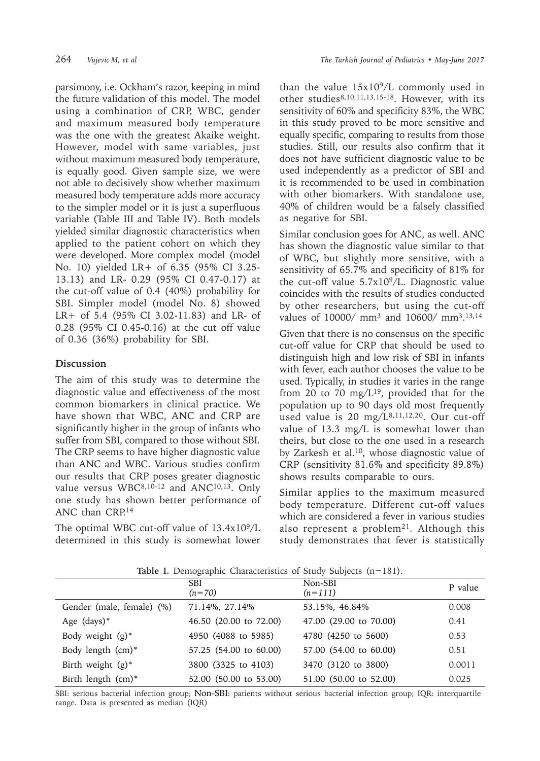parsimony, i.e. Ockham's razor, keeping in mind the future validation of this model. The model using a combination of CRP, WBC, gender and maximum measured body temperature was the one with the greatest Akaike weight. However, model with same variables, just without maximum measured body temperature, is equally good. Given sample size, we were not able to decisively show whether maximum measured body temperature adds more accuracy to the simpler model or it is just a superfluous variable (Table III and Table IV). Both models yielded similar diagnostic characteristics when applied to the patient cohort on which they were developed. More complex model (model No. 10) yielded LR+ of 6.35 (95% CI 3.25- 13.13) and LR- 0.29 (95% CI 0.47-0.17) at the cut-off value of 0.4 (40%) probability for SBI. Simpler model (model No. 8) showed LR+ of 5.4 (95% CI 3.02-11.83) and LR- of 0.28 (95% CI 0.45-0.16) at the cut off value of 0.36 (36%) probability for SBI.

### **Discussion**

The aim of this study was to determine the diagnostic value and effectiveness of the most common biomarkers in clinical practice. We have shown that WBC, ANC and CRP are significantly higher in the group of infants who suffer from SBI, compared to those without SBI. The CRP seems to have higher diagnostic value than ANC and WBC. Various studies confirm our results that CRP poses greater diagnostic value versus WBC<sup>8,10-12</sup> and ANC<sup>10,13</sup>. Only one study has shown better performance of ANC than CRP.<sup>14</sup>

The optimal WBC cut-off value of  $13.4x10^9/L$ determined in this study is somewhat lower

than the value  $15x10^9/L$  commonly used in other studies<sup>8,10,11,13,15-18</sup>. However, with its sensitivity of 60% and specificity 83%, the WBC in this study proved to be more sensitive and equally specific, comparing to results from those studies. Still, our results also confirm that it does not have sufficient diagnostic value to be used independently as a predictor of SBI and it is recommended to be used in combination with other biomarkers. With standalone use, 40% of children would be a falsely classified as negative for SBI.

Similar conclusion goes for ANC, as well. ANC has shown the diagnostic value similar to that of WBC, but slightly more sensitive, with a sensitivity of 65.7% and specificity of 81% for the cut-off value 5.7x109/L. Diagnostic value coincides with the results of studies conducted by other researchers, but using the cut-off values of 10000/ mm3 and 10600/ mm3. 13,14

Given that there is no consensus on the specific cut-off value for CRP that should be used to distinguish high and low risk of SBI in infants with fever, each author chooses the value to be used. Typically, in studies it varies in the range from 20 to 70 mg/ $L^{19}$ , provided that for the population up to 90 days old most frequently used value is 20 mg/L<sup>8,11,12,20</sup>. Our cut-off value of 13.3 mg/L is somewhat lower than theirs, but close to the one used in a research by Zarkesh et al.10, whose diagnostic value of CRP (sensitivity 81.6% and specificity 89.8%) shows results comparable to ours.

Similar applies to the maximum measured body temperature. Different cut-off values which are considered a fever in various studies also represent a problem<sup>21</sup>. Although this study demonstrates that fever is statistically

**Table I.** Demographic Characteristics of Study Subjects (n=181).

|                           | <b>SBI</b><br>$(n=70)$ | Non-SBI<br>$(n=111)$   | P value |
|---------------------------|------------------------|------------------------|---------|
| Gender (male, female) (%) | 71.14%, 27.14%         | 53.15%, 46.84%         | 0.008   |
| Age $(days)*$             | 46.50 (20.00 to 72.00) | 47.00 (29.00 to 70.00) | 0.41    |
| Body weight $(g)^*$       | 4950 (4088 to 5985)    | 4780 (4250 to 5600)    | 0.53    |
| Body length (cm)*         | 57.25 (54.00 to 60.00) | 57.00 (54.00 to 60.00) | 0.51    |
| Birth weight $(g)^*$      | 3800 (3325 to 4103)    | 3470 (3120 to 3800)    | 0.0011  |
| Birth length (cm)*        | 52.00 (50.00 to 53.00) | 51.00 (50.00 to 52.00) | 0.025   |

SBI: serious bacterial infection group; Non-SBI: patients without serious bacterial infection group; IQR: interquartile range. Data is presented as median (IQR)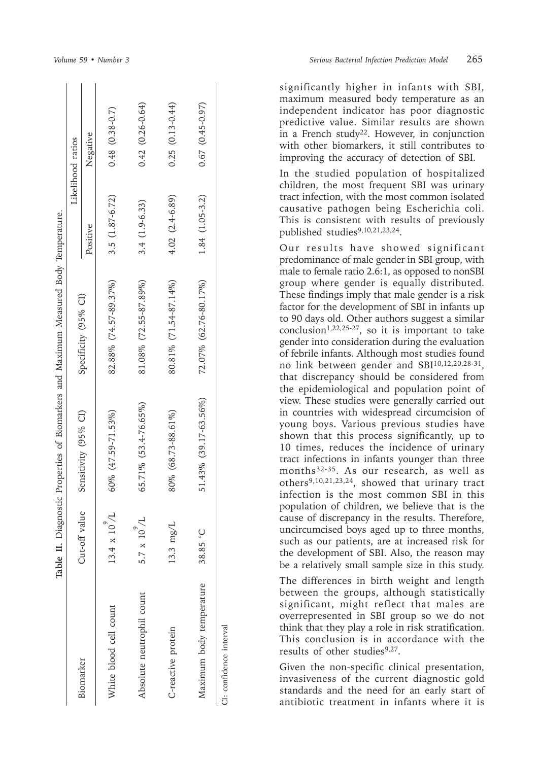|                           |                     |                            | Table II. Diagnostic Properties of Biomarkers and Maximum Measured Body Temperature. |                   |                       |
|---------------------------|---------------------|----------------------------|--------------------------------------------------------------------------------------|-------------------|-----------------------|
|                           |                     |                            |                                                                                      |                   | Likelihood ratios     |
| Biomarker                 | Cut-off value       | Sensitivity (95% CI)       | Specificity (95% CI)                                                                 | Positive          | Negative              |
| White blood cell count    | $13.4 \times 10$    | $60\%$ $(47.59 - 71.53\%)$ | 82.88% (74.57-89.37%)                                                                | $3.5(1.87-6.72)$  | $0.48$ $(0.38 - 0.7)$ |
| Absolute neutrophil count | $5.7 \times 10^9$ / | 65.71% (53.4-76.65%)       | 81.08% (72.55-87.89%)                                                                | $3.4(1.9-6.33)$   | $0.42(0.26-0.64)$     |
| C-reactive protein        | 13.3 mg/L           | 80% (68.73-88.61%)         | 80.81% (71.54-87.14%)                                                                | $4.02 (2.4-6.89)$ | $0.25(0.13-0.44)$     |
| Maximum body temperature  | 38.85 °C            | 51.43% (39.17-63.56%)      | 72.07% (62.76-80.17%)                                                                | 1.84 (1.05-3.2)   | $0.67(0.45 - 0.97)$   |
| CI: confidence interval   |                     |                            |                                                                                      |                   |                       |

significantly higher in infants with SBI, maximum measured body temperature as an independent indicator has poor diagnostic predictive value. Similar results are shown in a French study22. However, in conjunction with other biomarkers, it still contributes to improving the accuracy of detection of SBI.

In the studied population of hospitalized children, the most frequent SBI was urinary tract infection, with the most common isolated causative pathogen being Escherichia coli. This is consistent with results of previously published studies<sup>9,10,21,23,24</sup>.

Our results have showed significant predominance of male gender in SBI group, with male to female ratio 2.6:1, as opposed to nonSBI group where gender is equally distributed. These findings imply that male gender is a risk factor for the development of SBI in infants up to 90 days old. Other authors suggest a similar conclusion<sup>1,22,25-27</sup>, so it is important to take gender into consideration during the evaluation of febrile infants. Although most studies found no link between gender and SBI10,12,20,28-31, that discrepancy should be considered from the epidemiological and population point of view. These studies were generally carried out in countries with widespread circumcision of young boys. Various previous studies have shown that this process significantly, up to 10 times, reduces the incidence of urinary tract infections in infants younger than three months<sup>32-35</sup>. As our research, as well as others9,10,21,23,24, showed that urinary tract infection is the most common SBI in this population of children, we believe that is the cause of discrepancy in the results. Therefore, uncircumcised boys aged up to three months, such as our patients, are at increased risk for the development of SBI. Also, the reason may be a relatively small sample size in this study.

The differences in birth weight and length between the groups, although statistically significant, might reflect that males are overrepresented in SBI group so we do not think that they play a role in risk stratification. This conclusion is in accordance with the results of other studies<sup>9,27</sup>.

Given the non-specific clinical presentation, invasiveness of the current diagnostic gold standards and the need for an early start of antibiotic treatment in infants where it is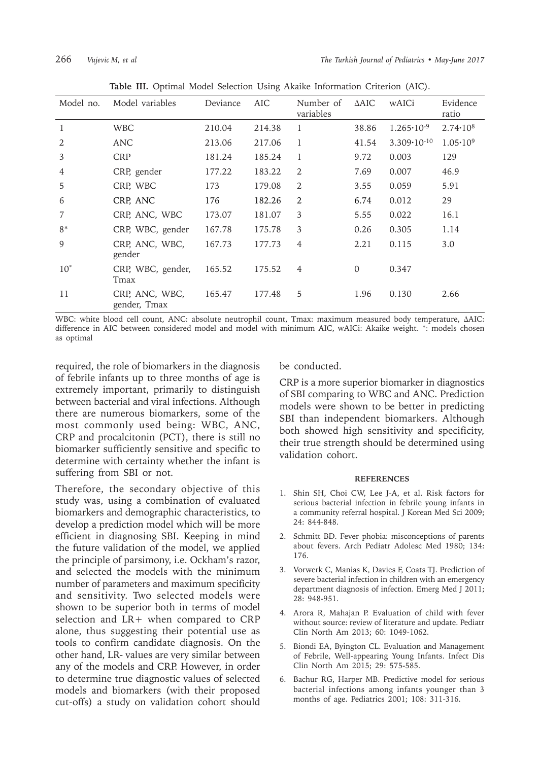| Model no.      | Model variables                | Deviance | AIC    | Number of<br>variables | $\triangle AIC$ | wAICi                  | Evidence<br>ratio   |
|----------------|--------------------------------|----------|--------|------------------------|-----------------|------------------------|---------------------|
| 1              | <b>WBC</b>                     | 210.04   | 214.38 | 1                      | 38.86           | $1.265 \cdot 10^{-9}$  | $2.74 \cdot 10^8$   |
| 2              | ANC                            | 213.06   | 217.06 | 1                      | 41.54           | $3.309 \cdot 10^{-10}$ | $1.05 \cdot 10^{9}$ |
| 3              | <b>CRP</b>                     | 181.24   | 185.24 | 1                      | 9.72            | 0.003                  | 129                 |
| $\overline{4}$ | CRP, gender                    | 177.22   | 183.22 | 2                      | 7.69            | 0.007                  | 46.9                |
| 5              | CRP, WBC                       | 173      | 179.08 | 2                      | 3.55            | 0.059                  | 5.91                |
| 6              | CRP, ANC                       | 176      | 182.26 | 2                      | 6.74            | 0.012                  | 29                  |
| 7              | CRP, ANC, WBC                  | 173.07   | 181.07 | 3                      | 5.55            | 0.022                  | 16.1                |
| $8*$           | CRP, WBC, gender               | 167.78   | 175.78 | 3                      | 0.26            | 0.305                  | 1.14                |
| 9              | CRP, ANC, WBC,<br>gender       | 167.73   | 177.73 | 4                      | 2.21            | 0.115                  | 3.0                 |
| $10^*$         | CRP, WBC, gender,<br>Tmax      | 165.52   | 175.52 | 4                      | $\mathbf{0}$    | 0.347                  |                     |
| 11             | CRP, ANC, WBC,<br>gender, Tmax | 165.47   | 177.48 | 5                      | 1.96            | 0.130                  | 2.66                |

**Table III.** Optimal Model Selection Using Akaike Information Criterion (AIC).

WBC: white blood cell count, ANC: absolute neutrophil count, Tmax: maximum measured body temperature, ΔAIC: difference in AIC between considered model and model with minimum AIC, wAICi: Akaike weight. \*: models chosen as optimal

required, the role of biomarkers in the diagnosis of febrile infants up to three months of age is extremely important, primarily to distinguish between bacterial and viral infections. Although there are numerous biomarkers, some of the most commonly used being: WBC, ANC, CRP and procalcitonin (PCT), there is still no biomarker sufficiently sensitive and specific to determine with certainty whether the infant is suffering from SBI or not.

Therefore, the secondary objective of this study was, using a combination of evaluated biomarkers and demographic characteristics, to develop a prediction model which will be more efficient in diagnosing SBI. Keeping in mind the future validation of the model, we applied the principle of parsimony, i.e. Ockham's razor, and selected the models with the minimum number of parameters and maximum specificity and sensitivity. Two selected models were shown to be superior both in terms of model selection and LR+ when compared to CRP alone, thus suggesting their potential use as tools to confirm candidate diagnosis. On the other hand, LR- values are very similar between any of the models and CRP. However, in order to determine true diagnostic values of selected models and biomarkers (with their proposed cut-offs) a study on validation cohort should

be conducted.

CRP is a more superior biomarker in diagnostics of SBI comparing to WBC and ANC. Prediction models were shown to be better in predicting SBI than independent biomarkers. Although both showed high sensitivity and specificity, their true strength should be determined using validation cohort.

#### **REFERENCES**

- 1. Shin SH, Choi CW, Lee J-A, et al. Risk factors for serious bacterial infection in febrile young infants in a community referral hospital. J Korean Med Sci 2009; 24: 844-848.
- 2. Schmitt BD. Fever phobia: misconceptions of parents about fevers. Arch Pediatr Adolesc Med 1980; 134: 176.
- 3. Vorwerk C, Manias K, Davies F, Coats TJ. Prediction of severe bacterial infection in children with an emergency department diagnosis of infection. Emerg Med J 2011; 28: 948-951.
- 4. Arora R, Mahajan P. Evaluation of child with fever without source: review of literature and update. Pediatr Clin North Am 2013; 60: 1049-1062.
- 5. Biondi EA, Byington CL. Evaluation and Management of Febrile, Well-appearing Young Infants. Infect Dis Clin North Am 2015; 29: 575-585.
- 6. Bachur RG, Harper MB. Predictive model for serious bacterial infections among infants younger than 3 months of age. Pediatrics 2001; 108: 311-316.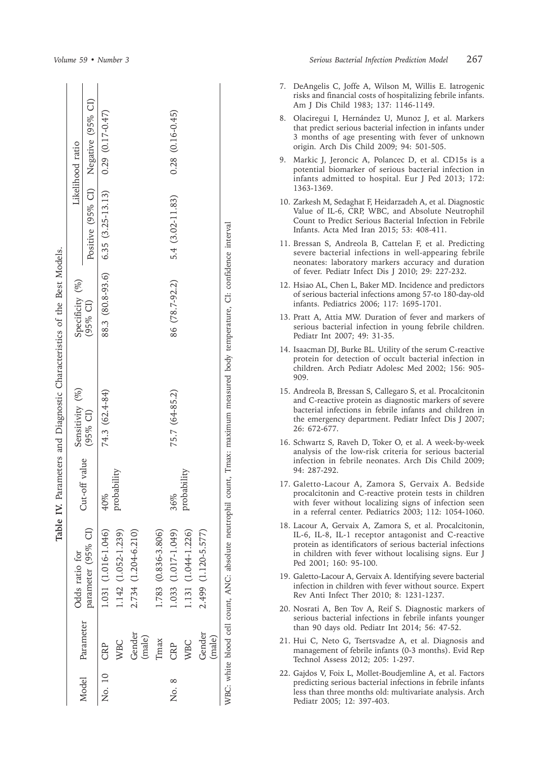|        |                  | Table               |               | IV. Parameters and Diagnostic Characteristics of the Best Models.                                                             |                  |                                     |                        |
|--------|------------------|---------------------|---------------|-------------------------------------------------------------------------------------------------------------------------------|------------------|-------------------------------------|------------------------|
| Model  |                  | Odds ratio for      |               | Sensitivity (%)                                                                                                               | Specificity (%)  |                                     | Likelihood ratio       |
|        | Parameter        | parameter (95% CI)  | Cut-off value | (95% CI)                                                                                                                      | $(95%$ CI)       | Positive (95% CI) Negative (95% CI) |                        |
| No. 10 | CRP              | 1.031 (1.016-1.046) | 40%           | 74.3 (62.4-84)                                                                                                                | 88.3 (80.8-93.6) | $6.35(3.25-13.13)$                  | $0.29(0.17 - 0.47)$    |
|        | <b>WBC</b>       | 1.142 (1.052-1.239) | probability   |                                                                                                                               |                  |                                     |                        |
|        | Gender<br>(male) | 2.734 (1.204-6.210) |               |                                                                                                                               |                  |                                     |                        |
|        | <b>Imax</b>      | 1.783 (0.836-3.806) |               |                                                                                                                               |                  |                                     |                        |
| No. 8  | CRP              | 1.033 (1.017-1.049) | 36%           | 75.7 (64-85.2)                                                                                                                | 86 (78.7-92.2)   | 5.4 (3.02-11.83)                    | $0.28$ $(0.16 - 0.45)$ |
|        | <b>WBC</b>       | 1.131 (1.044-1.226) | probability   |                                                                                                                               |                  |                                     |                        |
|        | Gender           | 2.499 (1.120-5.577) |               |                                                                                                                               |                  |                                     |                        |
|        | (male)           |                     |               |                                                                                                                               |                  |                                     |                        |
|        |                  |                     |               | WBC: white blood cell count, ANC: absolute neutrophil count, Tmax: maximum measured body temperature, CI: confidence interval |                  |                                     |                        |

*Volume 59 • Number 3 Serious Bacterial Infection Prediction Model* 267

- 7. DeAngelis C, Joffe A, Wilson M, Willis E. Iatrogenic risks and financial costs of hospitalizing febrile infants. Am J Dis Child 1983; 137: 1146-1149.
- 8. Olaciregui I, Hernández U, Munoz J, et al. Markers that predict serious bacterial infection in infants under 3 months of age presenting with fever of unknown origin. Arch Dis Child 2009; 94: 501-505.
- 9. Markic J, Jeroncic A, Polancec D, et al. CD15s is a potential biomarker of serious bacterial infection in infants admitted to hospital. Eur J Ped 2013; 172: 1363-1369.
- 10. Zarkesh M, Sedaghat F, Heidarzadeh A, et al. Diagnostic Value of IL-6, CRP, WBC, and Absolute Neutrophil Count to Predict Serious Bacterial Infection in Febrile Infants. Acta Med Iran 2015; 53: 408-411.
- 11. Bressan S, Andreola B, Cattelan F, et al. Predicting severe bacterial infections in well-appearing febrile neonates: laboratory markers accuracy and duration of fever. Pediatr Infect Dis J 2010; 29: 227-232.
- 12. Hsiao AL, Chen L, Baker MD. Incidence and predictors of serious bacterial infections among 57-to 180-day-old infants. Pediatrics 2006; 117: 1695-1701.
- 13. Pratt A, Attia MW. Duration of fever and markers of serious bacterial infection in young febrile children. Pediatr Int 2007; 49: 31-35.
- 14. Isaacman DJ, Burke BL. Utility of the serum C-reactive protein for detection of occult bacterial infection in children. Arch Pediatr Adolesc Med 2002; 156: 905- 909.
- 15. Andreola B, Bressan S, Callegaro S, et al. Procalcitonin and C-reactive protein as diagnostic markers of severe bacterial infections in febrile infants and children in the emergency department. Pediatr Infect Dis J 2007; 26: 672-677.
- 16. Schwartz S, Raveh D, Toker O, et al. A week-by-week analysis of the low-risk criteria for serious bacterial infection in febrile neonates. Arch Dis Child 2009; 94: 287-292.
- 17. Galetto-Lacour A, Zamora S, Gervaix A. Bedside procalcitonin and C-reactive protein tests in children with fever without localizing signs of infection seen in a referral center. Pediatrics 2003; 112: 1054-1060.
- 18. Lacour A, Gervaix A, Zamora S, et al. Procalcitonin, IL-6, IL-8, IL-1 receptor antagonist and C-reactive protein as identificators of serious bacterial infections in children with fever without localising signs. Eur J Ped 2001; 160: 95-100.
- 19. Galetto-Lacour A, Gervaix A. Identifying severe bacterial infection in children with fever without source. Expert Rev Anti Infect Ther 2010; 8: 1231-1237.
- 20. Nosrati A, Ben Tov A, Reif S. Diagnostic markers of serious bacterial infections in febrile infants younger than 90 days old. Pediatr Int 2014; 56: 47-52.
- 21. Hui C, Neto G, Tsertsvadze A, et al. Diagnosis and management of febrile infants (0-3 months). Evid Rep Technol Assess 2012; 205: 1-297.
- 22. Gajdos V, Foix L, Mollet-Boudjemline A, et al. Factors predicting serious bacterial infections in febrile infants less than three months old: multivariate analysis. Arch Pediatr 2005; 12: 397-403.